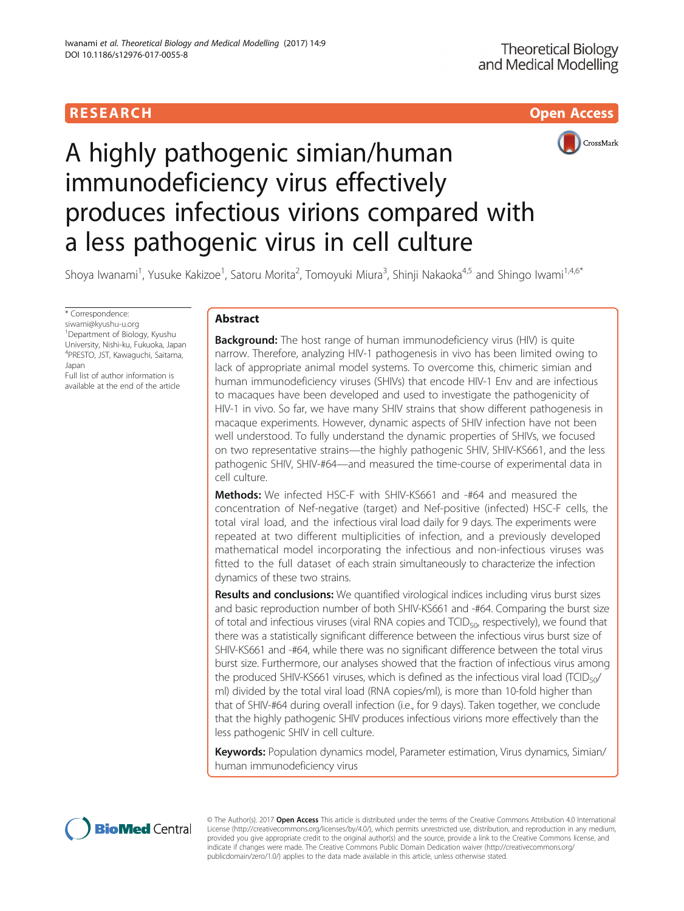



# A highly pathogenic simian/human immunodeficiency virus effectively produces infectious virions compared with a less pathogenic virus in cell culture

Shoya Iwanami<sup>1</sup>, Yusuke Kakizoe<sup>1</sup>, Satoru Morita<sup>2</sup>, Tomoyuki Miura<sup>3</sup>, Shinji Nakaoka<sup>4,5</sup> and Shingo Iwami<sup>1,4,6\*</sup>

\* Correspondence:

[siwami@kyushu-u.org](mailto:siwami@kyushu-u.org) 1 Department of Biology, Kyushu University, Nishi-ku, Fukuoka, Japan 4 PRESTO, JST, Kawaguchi, Saitama, Japan

Full list of author information is available at the end of the article

# Abstract

**Background:** The host range of human immunodeficiency virus (HIV) is quite narrow. Therefore, analyzing HIV-1 pathogenesis in vivo has been limited owing to lack of appropriate animal model systems. To overcome this, chimeric simian and human immunodeficiency viruses (SHIVs) that encode HIV-1 Env and are infectious to macaques have been developed and used to investigate the pathogenicity of HIV-1 in vivo. So far, we have many SHIV strains that show different pathogenesis in macaque experiments. However, dynamic aspects of SHIV infection have not been well understood. To fully understand the dynamic properties of SHIVs, we focused on two representative strains—the highly pathogenic SHIV, SHIV-KS661, and the less pathogenic SHIV, SHIV-#64—and measured the time-course of experimental data in cell culture.

**Methods:** We infected HSC-F with SHIV-KS661 and -#64 and measured the concentration of Nef-negative (target) and Nef-positive (infected) HSC-F cells, the total viral load, and the infectious viral load daily for 9 days. The experiments were repeated at two different multiplicities of infection, and a previously developed mathematical model incorporating the infectious and non-infectious viruses was fitted to the full dataset of each strain simultaneously to characterize the infection dynamics of these two strains.

**Results and conclusions:** We quantified virological indices including virus burst sizes and basic reproduction number of both SHIV-KS661 and -#64. Comparing the burst size of total and infectious viruses (viral RNA copies and  $TCID<sub>50</sub>$ , respectively), we found that there was a statistically significant difference between the infectious virus burst size of SHIV-KS661 and -#64, while there was no significant difference between the total virus burst size. Furthermore, our analyses showed that the fraction of infectious virus among the produced SHIV-KS661 viruses, which is defined as the infectious viral load (TCID $_{50}$ / ml) divided by the total viral load (RNA copies/ml), is more than 10-fold higher than that of SHIV-#64 during overall infection (i.e., for 9 days). Taken together, we conclude that the highly pathogenic SHIV produces infectious virions more effectively than the less pathogenic SHIV in cell culture.

Keywords: Population dynamics model, Parameter estimation, Virus dynamics, Simian/ human immunodeficiency virus



© The Author(s). 2017 Open Access This article is distributed under the terms of the Creative Commons Attribution 4.0 International License ([http://creativecommons.org/licenses/by/4.0/\)](http://creativecommons.org/licenses/by/4.0/), which permits unrestricted use, distribution, and reproduction in any medium, provided you give appropriate credit to the original author(s) and the source, provide a link to the Creative Commons license, and indicate if changes were made. The Creative Commons Public Domain Dedication waiver ([http://creativecommons.org/](http://creativecommons.org/publicdomain/zero/1.0/) [publicdomain/zero/1.0/\)](http://creativecommons.org/publicdomain/zero/1.0/) applies to the data made available in this article, unless otherwise stated.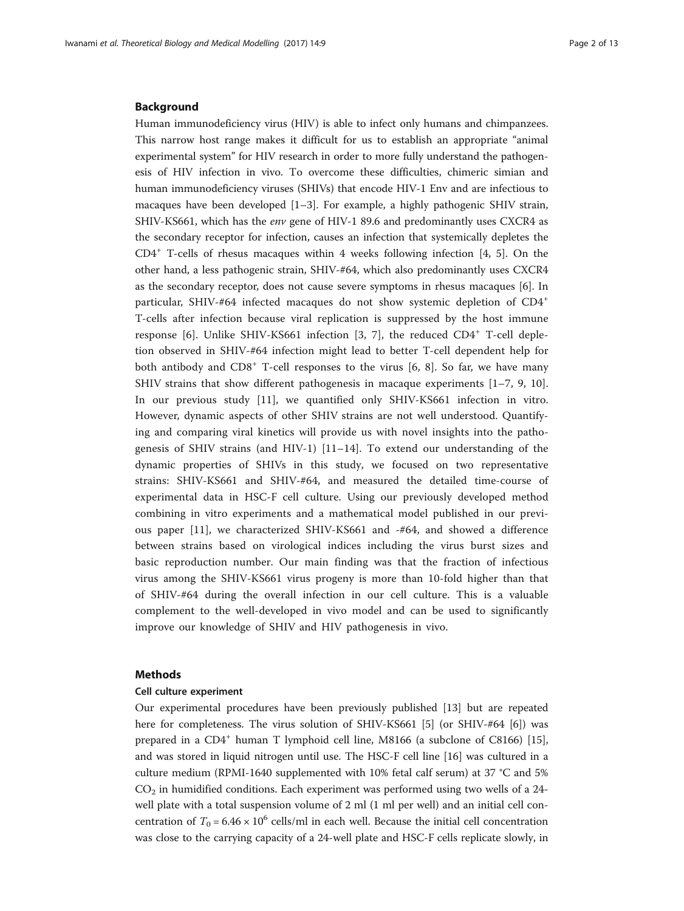## Background

Human immunodeficiency virus (HIV) is able to infect only humans and chimpanzees. This narrow host range makes it difficult for us to establish an appropriate "animal experimental system" for HIV research in order to more fully understand the pathogenesis of HIV infection in vivo. To overcome these difficulties, chimeric simian and human immunodeficiency viruses (SHIVs) that encode HIV-1 Env and are infectious to macaques have been developed [\[1](#page-11-0)–[3](#page-11-0)]. For example, a highly pathogenic SHIV strain, SHIV-KS661, which has the env gene of HIV-1 89.6 and predominantly uses CXCR4 as the secondary receptor for infection, causes an infection that systemically depletes the  $CD4^+$  $CD4^+$  $CD4^+$  T-cells of rhesus macaques within 4 weeks following infection [4, [5](#page-11-0)]. On the other hand, a less pathogenic strain, SHIV-#64, which also predominantly uses CXCR4 as the secondary receptor, does not cause severe symptoms in rhesus macaques [\[6](#page-11-0)]. In particular, SHIV-#64 infected macaques do not show systemic depletion of CD4<sup>+</sup> T-cells after infection because viral replication is suppressed by the host immune response [[6](#page-11-0)]. Unlike SHIV-KS661 infection [[3, 7\]](#page-11-0), the reduced CD4<sup>+</sup> T-cell depletion observed in SHIV-#64 infection might lead to better T-cell dependent help for both antibody and  $CD8^+$  T-cell responses to the virus [[6, 8](#page-11-0)]. So far, we have many SHIV strains that show different pathogenesis in macaque experiments  $[1-7, 9, 10]$  $[1-7, 9, 10]$  $[1-7, 9, 10]$  $[1-7, 9, 10]$  $[1-7, 9, 10]$  $[1-7, 9, 10]$  $[1-7, 9, 10]$ . In our previous study [[11](#page-11-0)], we quantified only SHIV-KS661 infection in vitro. However, dynamic aspects of other SHIV strains are not well understood. Quantifying and comparing viral kinetics will provide us with novel insights into the pathogenesis of SHIV strains (and HIV-1)  $[11-14]$  $[11-14]$  $[11-14]$  $[11-14]$ . To extend our understanding of the dynamic properties of SHIVs in this study, we focused on two representative strains: SHIV-KS661 and SHIV-#64, and measured the detailed time-course of experimental data in HSC-F cell culture. Using our previously developed method combining in vitro experiments and a mathematical model published in our previous paper [[11\]](#page-11-0), we characterized SHIV-KS661 and -#64, and showed a difference between strains based on virological indices including the virus burst sizes and basic reproduction number. Our main finding was that the fraction of infectious virus among the SHIV-KS661 virus progeny is more than 10-fold higher than that of SHIV-#64 during the overall infection in our cell culture. This is a valuable complement to the well-developed in vivo model and can be used to significantly improve our knowledge of SHIV and HIV pathogenesis in vivo.

# Methods

# Cell culture experiment

Our experimental procedures have been previously published [\[13\]](#page-11-0) but are repeated here for completeness. The virus solution of SHIV-KS661 [\[5](#page-11-0)] (or SHIV-#64 [[6\]](#page-11-0)) was prepared in a  $CD4^+$  human T lymphoid cell line, M8166 (a subclone of C8166) [[15](#page-11-0)], and was stored in liquid nitrogen until use. The HSC-F cell line [[16\]](#page-11-0) was cultured in a culture medium (RPMI-1640 supplemented with 10% fetal calf serum) at 37 °C and 5%  $CO<sub>2</sub>$  in humidified conditions. Each experiment was performed using two wells of a 24well plate with a total suspension volume of 2 ml (1 ml per well) and an initial cell concentration of  $T_0 = 6.46 \times 10^6$  cells/ml in each well. Because the initial cell concentration was close to the carrying capacity of a 24-well plate and HSC-F cells replicate slowly, in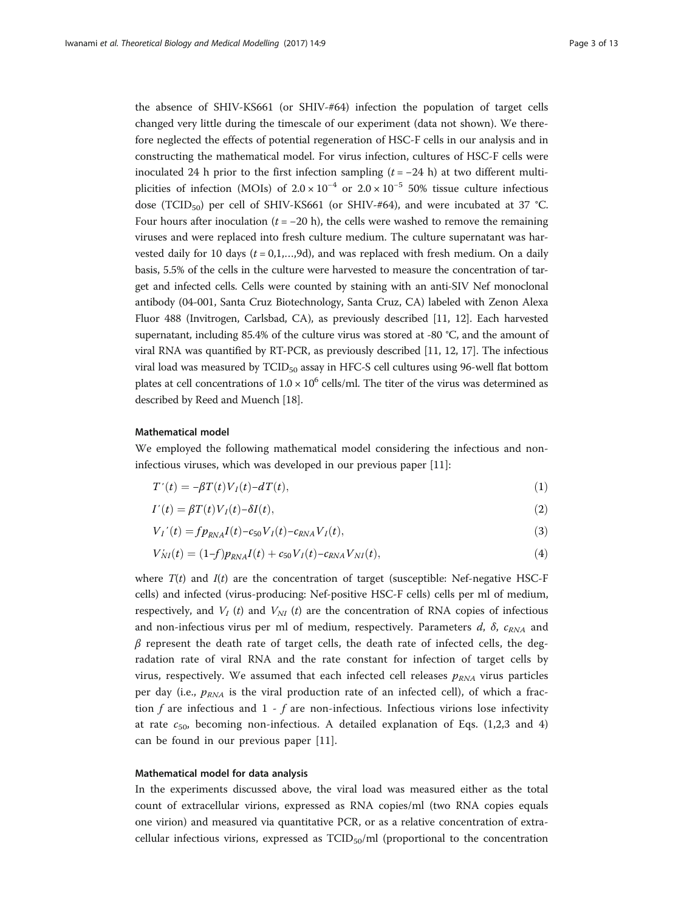<span id="page-2-0"></span>the absence of SHIV-KS661 (or SHIV-#64) infection the population of target cells changed very little during the timescale of our experiment (data not shown). We therefore neglected the effects of potential regeneration of HSC-F cells in our analysis and in constructing the mathematical model. For virus infection, cultures of HSC-F cells were inoculated 24 h prior to the first infection sampling  $(t = -24 h)$  at two different multiplicities of infection (MOIs) of  $2.0 \times 10^{-4}$  or  $2.0 \times 10^{-5}$  50% tissue culture infectious dose (TCID<sub>50</sub>) per cell of SHIV-KS661 (or SHIV-#64), and were incubated at 37 °C. Four hours after inoculation ( $t = -20$  h), the cells were washed to remove the remaining viruses and were replaced into fresh culture medium. The culture supernatant was harvested daily for 10 days  $(t = 0, 1, \ldots, 9d)$ , and was replaced with fresh medium. On a daily basis, 5.5% of the cells in the culture were harvested to measure the concentration of target and infected cells. Cells were counted by staining with an anti-SIV Nef monoclonal antibody (04-001, Santa Cruz Biotechnology, Santa Cruz, CA) labeled with Zenon Alexa Fluor 488 (Invitrogen, Carlsbad, CA), as previously described [\[11, 12\]](#page-11-0). Each harvested supernatant, including 85.4% of the culture virus was stored at -80 °C, and the amount of viral RNA was quantified by RT-PCR, as previously described [\[11](#page-11-0), [12,](#page-11-0) [17\]](#page-12-0). The infectious viral load was measured by TCID<sub>50</sub> assay in HFC-S cell cultures using 96-well flat bottom plates at cell concentrations of  $1.0 \times 10^6$  cells/ml. The titer of the virus was determined as described by Reed and Muench [\[18\]](#page-12-0).

# Mathematical model

We employed the following mathematical model considering the infectious and noninfectious viruses, which was developed in our previous paper [[11](#page-11-0)]:

$$
T'(t) = -\beta T(t)V_I(t) - dT(t),\tag{1}
$$

$$
I'(t) = \beta T(t) V_I(t) - \delta I(t),
$$
\n(2)

$$
V_I'(t) = f p_{RNA} I(t) - c_{50} V_I(t) - c_{RNA} V_I(t),
$$
\n(3)

$$
V'_{NI}(t) = (1-f)p_{RNA}I(t) + c_{50}V_I(t) - c_{RNA}V_{NI}(t),
$$
\n(4)

where  $T(t)$  and  $I(t)$  are the concentration of target (susceptible: Nef-negative HSC-F cells) and infected (virus-producing: Nef-positive HSC-F cells) cells per ml of medium, respectively, and  $V_I(t)$  and  $V_{NI}$  (t) are the concentration of RNA copies of infectious and non-infectious virus per ml of medium, respectively. Parameters  $d$ ,  $\delta$ ,  $c_{RNA}$  and  $\beta$  represent the death rate of target cells, the death rate of infected cells, the degradation rate of viral RNA and the rate constant for infection of target cells by virus, respectively. We assumed that each infected cell releases  $p_{RNA}$  virus particles per day (i.e.,  $p_{RNA}$  is the viral production rate of an infected cell), of which a fraction f are infectious and  $1 - f$  are non-infectious. Infectious virions lose infectivity at rate  $c_{50}$ , becoming non-infectious. A detailed explanation of Eqs. (1,2,3 and 4) can be found in our previous paper [\[11](#page-11-0)].

### Mathematical model for data analysis

In the experiments discussed above, the viral load was measured either as the total count of extracellular virions, expressed as RNA copies/ml (two RNA copies equals one virion) and measured via quantitative PCR, or as a relative concentration of extracellular infectious virions, expressed as  $TCID_{50}/ml$  (proportional to the concentration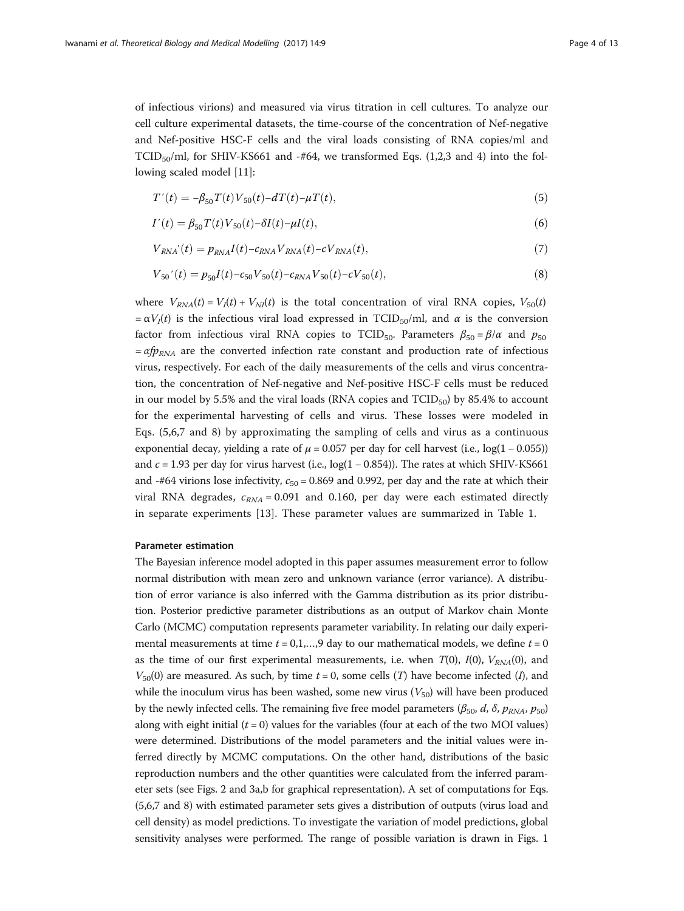<span id="page-3-0"></span>of infectious virions) and measured via virus titration in cell cultures. To analyze our cell culture experimental datasets, the time-course of the concentration of Nef-negative and Nef-positive HSC-F cells and the viral loads consisting of RNA copies/ml and TCID<sub>50</sub>/ml, for SHIV-KS661 and -#64, we transformed Eqs. [\(1,2,3](#page-2-0) and [4](#page-2-0)) into the following scaled model [\[11\]](#page-11-0):

$$
T'(t) = -\beta_{50} T(t) V_{50}(t) - dT(t) - \mu T(t), \qquad (5)
$$

$$
I'(t) = \beta_{50} T(t) V_{50}(t) - \delta I(t) - \mu I(t),
$$
\n(6)

$$
V_{RNA}'(t) = p_{RNA}I(t) - c_{RNA}V_{RNA}(t) - cV_{RNA}(t),
$$
\n<sup>(7)</sup>

$$
V_{50}'(t) = p_{50}I(t) - c_{50}V_{50}(t) - c_{RNA}V_{50}(t) - cV_{50}(t),
$$
\n(8)

where  $V_{RNA}(t) = V_I(t) + V_{NI}(t)$  is the total concentration of viral RNA copies,  $V_{50}(t)$  $=\alpha V_I(t)$  is the infectious viral load expressed in TCID<sub>50</sub>/ml, and  $\alpha$  is the conversion factor from infectious viral RNA copies to TCID<sub>50</sub>. Parameters  $\beta_{50} = \beta/\alpha$  and  $p_{50}$  $= \alpha f p_{RNA}$  are the converted infection rate constant and production rate of infectious virus, respectively. For each of the daily measurements of the cells and virus concentration, the concentration of Nef-negative and Nef-positive HSC-F cells must be reduced in our model by 5.5% and the viral loads (RNA copies and  $TCID_{50}$ ) by 85.4% to account for the experimental harvesting of cells and virus. These losses were modeled in Eqs. (5,6,7 and 8) by approximating the sampling of cells and virus as a continuous exponential decay, yielding a rate of  $\mu$  = 0.057 per day for cell harvest (i.e., log(1 – 0.055)) and  $c = 1.93$  per day for virus harvest (i.e.,  $log(1 - 0.854)$ ). The rates at which SHIV-KS661 and -#64 virions lose infectivity,  $c_{50} = 0.869$  and 0.992, per day and the rate at which their viral RNA degrades,  $c_{RNA} = 0.091$  and 0.160, per day were each estimated directly in separate experiments [[13](#page-11-0)]. These parameter values are summarized in Table [1](#page-4-0).

# Parameter estimation

The Bayesian inference model adopted in this paper assumes measurement error to follow normal distribution with mean zero and unknown variance (error variance). A distribution of error variance is also inferred with the Gamma distribution as its prior distribution. Posterior predictive parameter distributions as an output of Markov chain Monte Carlo (MCMC) computation represents parameter variability. In relating our daily experimental measurements at time  $t = 0, 1, \ldots, 9$  day to our mathematical models, we define  $t = 0$ as the time of our first experimental measurements, i.e. when  $T(0)$ ,  $I(0)$ ,  $V_{RNA}(0)$ , and  $V_{50}(0)$  are measured. As such, by time  $t = 0$ , some cells (T) have become infected (I), and while the inoculum virus has been washed, some new virus  $(V_{50})$  will have been produced by the newly infected cells. The remaining five free model parameters ( $\beta_{50}$ , d,  $\delta$ ,  $p_{RNA}$ ,  $p_{50}$ ) along with eight initial  $(t = 0)$  values for the variables (four at each of the two MOI values) were determined. Distributions of the model parameters and the initial values were inferred directly by MCMC computations. On the other hand, distributions of the basic reproduction numbers and the other quantities were calculated from the inferred parameter sets (see Figs. [2](#page-7-0) and [3a,b](#page-9-0) for graphical representation). A set of computations for Eqs. (5,6,7 and 8) with estimated parameter sets gives a distribution of outputs (virus load and cell density) as model predictions. To investigate the variation of model predictions, global sensitivity analyses were performed. The range of possible variation is drawn in Figs. [1](#page-5-0)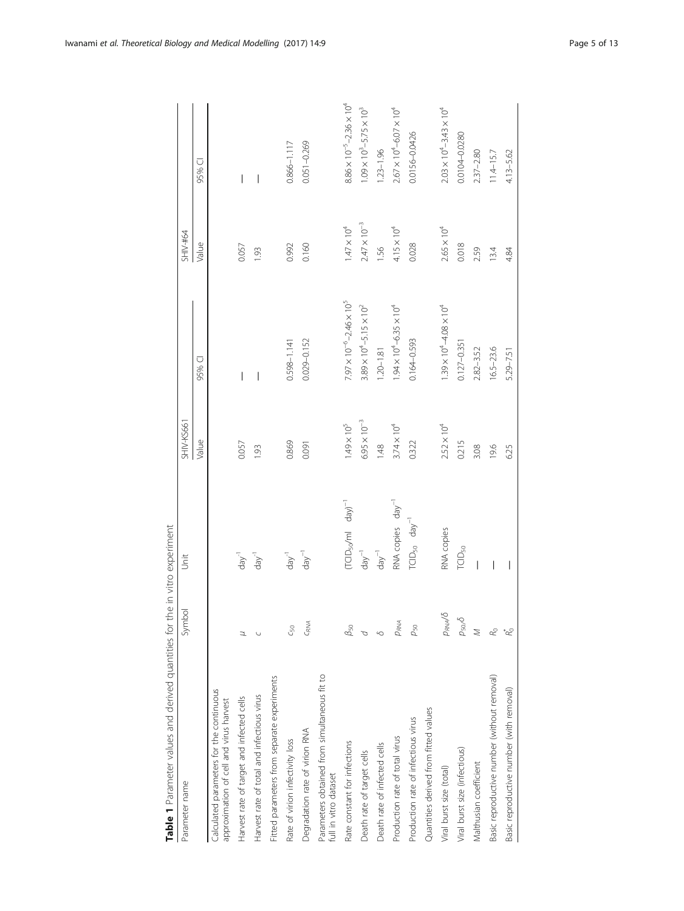<span id="page-4-0"></span>

| Table 1 Parameter values and derived quantities for the in vitro experiment         |                          |                                |                       |                                            |                       |                                            |
|-------------------------------------------------------------------------------------|--------------------------|--------------------------------|-----------------------|--------------------------------------------|-----------------------|--------------------------------------------|
| Parameter name                                                                      | Symbol                   | Jnit                           | <b>SHIV-KS661</b>     |                                            | SHIV-#64              |                                            |
|                                                                                     |                          |                                | Value                 | 95% CI                                     | Value                 | 95% CI                                     |
| Calculated parameters for the continuous<br>approximation of cell and virus harvest |                          |                                |                       |                                            |                       |                                            |
| Harvest rate of target and infected cells                                           | Z                        | $day^{-1}$                     | 0.057                 | I                                          | 0.057                 |                                            |
| Harvest rate of total and infectious virus                                          |                          | $day^{-1}$                     | 1.93                  | $\overline{\phantom{a}}$                   | 1.93                  |                                            |
| Fitted parameters from separate experiments                                         |                          |                                |                       |                                            |                       |                                            |
| Rate of virion infectivity loss                                                     | $C_{50}$                 | $day^{-1}$                     | 0.869                 | $0.598 - 1.141$                            | 0.992                 | $0.866 - 1.117$                            |
| Degradation rate of virion RNA                                                      | CRNA                     | $day^{-1}$                     | 0.091                 | 0.029-0.152                                | 0.160                 | $0.051 - 0.269$                            |
| Parameters obtained from simultaneous fit to<br>full in vitro dataset               |                          |                                |                       |                                            |                       |                                            |
| Rate constant for infections                                                        | $\beta_{\rm 50}$         | $(TCD50/mI$ day) <sup>-1</sup> | $1.49 \times 10^5$    | $7.97 \times 10^{-6} - 2.46 \times 10^{5}$ | $1.47\times10^4$      | $8.86 \times 10^{-5} - 2.36 \times 10^{4}$ |
| Death rate of target cells                                                          |                          | $day^{-1}$                     | $6.95 \times 10^{-3}$ | $3.89 \times 10^{4} - 5.15 \times 10^{2}$  | $2.47 \times 10^{-3}$ | $1.09 \times 10^3 - 5.75 \times 10^3$      |
| Death rate of infected cells                                                        | Q                        | $day^{-1}$                     | 1.48                  | $1.20 - 1.81$                              | 1.56                  | $1.23 - 1.96$                              |
| Production rate of total virus                                                      | PRNA                     | RNA copies day <sup>-1</sup>   | $3.74 \times 10^{4}$  | $.94 \times 10^{4} - 6.35 \times 10^{4}$   | $4.15 \times 10^{4}$  | $2.67 \times 10^{4} - 6.07 \times 10^{4}$  |
| Production rate of infectious virus                                                 | $\rho_{50}$              | $TCID_{50}$ $\text{day}^{-1}$  | 0.322                 | $0.164 - 0.593$                            | 0.028                 | 0.0156-0.0426                              |
| Quantities derived from fitted values                                               |                          |                                |                       |                                            |                       |                                            |
| Viral burst size (total)                                                            | PRNA <sup>/5</sup>       | RNA copies                     | $2.52 \times 10^{4}$  | $1.39 \times 10^{4} - 4.08 \times 10^{4}$  | $2.65 \times 10^{4}$  | $2.03 \times 10^{4} - 3.43 \times 10^{4}$  |
| Viral burst size (infectious)                                                       | $\rho_{\rm SO}$ $\delta$ | TCID <sub>50</sub>             | 0.215                 | $0.127 - 0.351$                            | 0.018                 | 0.0104-0.0280                              |
| Malthusian coefficient                                                              | $\leq$                   |                                | 3.08                  | $2.82 - 3.52$                              | 2.59                  | $2.37 - 2.80$                              |
| Basic reproductive number (without removal)                                         | Ro                       |                                | 19.6                  | $16.5 - 23.6$                              | 13.4                  | $11.4 - 15.7$                              |
| Basic reproductive number (with removal)                                            |                          |                                | 6.25                  | 5.29-7.51                                  | 4.84                  | 4.13-5.62                                  |

Table 1 Parameter values and derived quantities for the in vitro experiment  $\frac{1}{2}$ 主 ۽.  $\frac{2}{1}$  $\zeta$ È L, J.  $rac{c}{\tau}$  $\overline{a}$ á  $\overline{\mathbf{r}}$ ź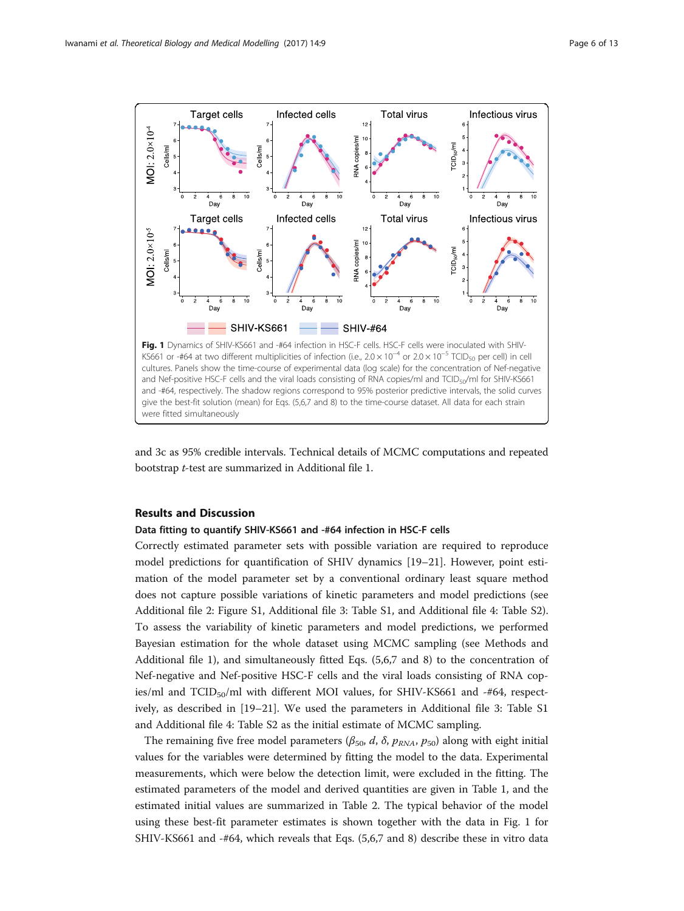<span id="page-5-0"></span>

and [3c](#page-9-0) as 95% credible intervals. Technical details of MCMC computations and repeated bootstrap t-test are summarized in Additional file [1](#page-10-0).

# Results and Discussion

were fitted simultaneously

# Data fitting to quantify SHIV-KS661 and -#64 infection in HSC-F cells

Correctly estimated parameter sets with possible variation are required to reproduce model predictions for quantification of SHIV dynamics [[19](#page-12-0)–[21](#page-12-0)]. However, point estimation of the model parameter set by a conventional ordinary least square method does not capture possible variations of kinetic parameters and model predictions (see Additional file [2](#page-10-0): Figure S1, Additional file [3:](#page-10-0) Table S1, and Additional file [4:](#page-10-0) Table S2). To assess the variability of kinetic parameters and model predictions, we performed Bayesian estimation for the whole dataset using MCMC sampling (see Methods and Additional file [1\)](#page-10-0), and simultaneously fitted Eqs. ([5,6,7](#page-3-0) and [8](#page-3-0)) to the concentration of Nef-negative and Nef-positive HSC-F cells and the viral loads consisting of RNA copies/ml and  $TCID<sub>50</sub>/ml$  with different MOI values, for SHIV-KS661 and -#64, respectively, as described in [[19](#page-12-0)–[21](#page-12-0)]. We used the parameters in Additional file [3](#page-10-0): Table S1 and Additional file [4:](#page-10-0) Table S2 as the initial estimate of MCMC sampling.

The remaining five free model parameters ( $\beta_{50}$ , d,  $\delta$ ,  $p_{RNA}$ ,  $p_{50}$ ) along with eight initial values for the variables were determined by fitting the model to the data. Experimental measurements, which were below the detection limit, were excluded in the fitting. The estimated parameters of the model and derived quantities are given in Table [1](#page-4-0), and the estimated initial values are summarized in Table [2.](#page-6-0) The typical behavior of the model using these best-fit parameter estimates is shown together with the data in Fig. 1 for SHIV-KS661 and -#64, which reveals that Eqs. [\(5,6,7](#page-3-0) and [8](#page-3-0)) describe these in vitro data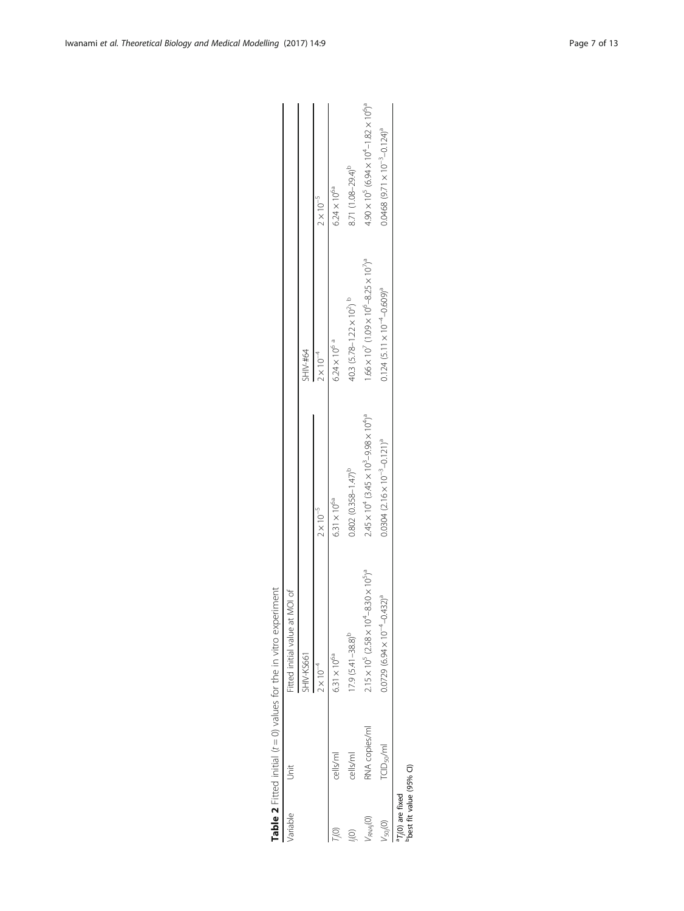| variable                                                 | $\frac{1}{2}$          | Fitted initial value at MOI of                                            |                                                                                  |                                                                                 |                                                                            |
|----------------------------------------------------------|------------------------|---------------------------------------------------------------------------|----------------------------------------------------------------------------------|---------------------------------------------------------------------------------|----------------------------------------------------------------------------|
|                                                          |                        | SHIV-KS661                                                                |                                                                                  | SHIV-#64                                                                        |                                                                            |
|                                                          |                        | $2 \times 10^{-4}$                                                        | $2 \times 10^{-5}$                                                               | $2\times10^{-4}$                                                                | $2 \times 10^{-5}$                                                         |
|                                                          | cells/ml               | $6.31 \times 10^{6a}$                                                     | $6.31 \times 10^{6a}$                                                            | $6.24 \times 10^{6}$ <sup>a</sup>                                               | $6.24 \times 10^{6a}$                                                      |
|                                                          | cells/ml               | $(7.9 (5.41 - 38.8)^{D}$                                                  | $0.802(0.358 - 1.47)^b$                                                          | 40.3 $(5.78 - 1.22 \times 10^2)$ b                                              | 8.71 (1.08-29.4) <sup>b</sup>                                              |
| $\frac{1}{RMA}$ <sub>(0)</sub>                           | RNA copies/ml          | $2.15 \times 10^5$ (2.58 $\times 10^4$ –8.30 $\times 10^5$ ) <sup>a</sup> | $2.45 \times 10^{4}$ (3.45 $\times 10^{3}$ – 9.98 $\times 10^{4}$ ) <sup>a</sup> | $1.66 \times 10^{7}$ (1.09 $\times 10^{6}$ –8.25 $\times 10^{7}$ ) <sup>a</sup> | $4.90 \times 10^5$ (6.94 $\times 10^4$ – 1.82 $\times 10^6$ ) <sup>a</sup> |
| $V_{50}$ (O)                                             | FCID <sub>50</sub> /ml | $(52,43)$ <sup>a</sup><br>$0.0729$ (6.94 $\times$ 10 <sup>-4</sup> -0.    | $0.0304$ $(2.16 \times 10^{-3} - 0.121)^{a}$                                     | $0.124$ (5.11 × 10 <sup>-4</sup> -0.609) <sup>a</sup>                           | $0.0468$ $(9.71 \times 10^{-3} - 0.124)^{a}$                               |
| <sup>1</sup> 7,(0) are fixed<br>"best fit value (95% Cl) |                        |                                                                           |                                                                                  |                                                                                 |                                                                            |

| הונה הנווחה הוה' |  |
|------------------|--|
|                  |  |
|                  |  |
|                  |  |
| J                |  |
| Ó<br>i           |  |
| $\ddot{ }$       |  |
|                  |  |
|                  |  |
|                  |  |
|                  |  |
| $\frac{1}{2}$    |  |
|                  |  |
| J                |  |
| $+ -$            |  |
| j                |  |
|                  |  |
|                  |  |
| ;                |  |
| ł                |  |
|                  |  |
|                  |  |
|                  |  |
| $\mathbf{r}$     |  |
|                  |  |
|                  |  |
|                  |  |
|                  |  |
| j                |  |
| ı                |  |
|                  |  |
|                  |  |
|                  |  |
|                  |  |
|                  |  |
|                  |  |

<span id="page-6-0"></span>Iwanami et al. Theoretical Biology and Medical Modelling (2017) 14:9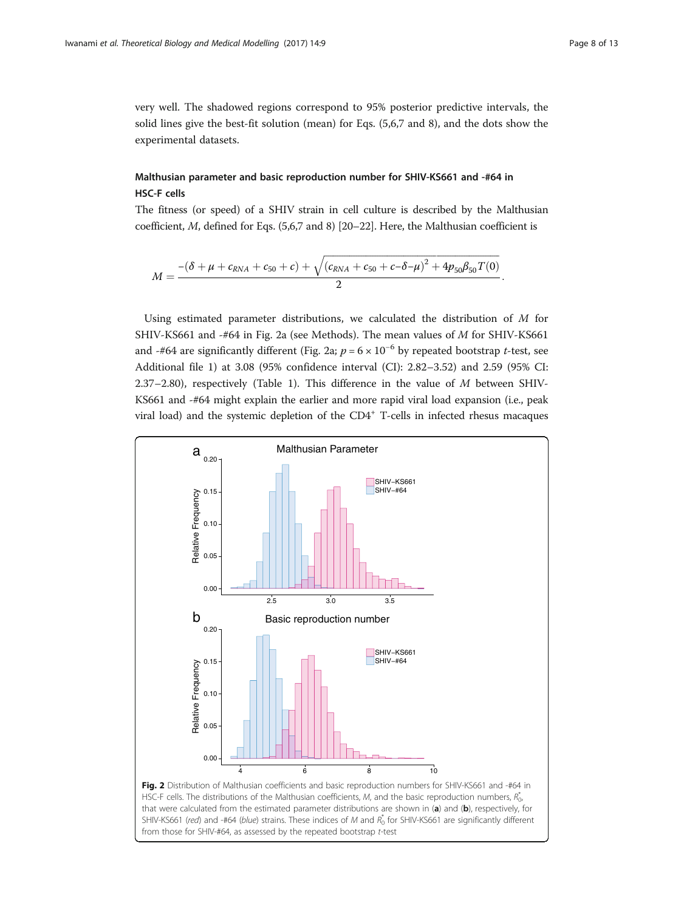<span id="page-7-0"></span>very well. The shadowed regions correspond to 95% posterior predictive intervals, the solid lines give the best-fit solution (mean) for Eqs. [\(5,6,7](#page-3-0) and [8](#page-3-0)), and the dots show the experimental datasets.

# Malthusian parameter and basic reproduction number for SHIV-KS661 and -#64 in HSC-F cells

The fitness (or speed) of a SHIV strain in cell culture is described by the Malthusian coefficient, M, defined for Eqs. [\(5,6,7](#page-3-0) and [8\)](#page-3-0) [[20](#page-12-0)–[22\]](#page-12-0). Here, the Malthusian coefficient is

ffiffiffiffiffiffiffiffiffiffiffiffiffiffiffiffiffiffiffiffiffiffiffiffiffiffiffiffiffiffiffiffiffiffiffiffiffiffiffiffiffiffiffiffiffiffiffiffiffiffiffiffiffiffiffiffiffiffiffiffiffiffiffiffiffiffiffiffiffiffiffiffiffiffiffi

$$
M=\frac{-(\delta+\mu+c_{RNA}+c_{50}+c)+\sqrt{(c_{RNA}+c_{50}+c-\delta-\mu)^2+4p_{50}\beta_{50}T(0)}}{2}.
$$

Using estimated parameter distributions, we calculated the distribution of  $M$  for SHIV-KS661 and -#64 in Fig. 2a (see Methods). The mean values of M for SHIV-KS661 and -#64 are significantly different (Fig. 2a;  $p = 6 \times 10^{-6}$  by repeated bootstrap t-test, see Additional file [1](#page-10-0)) at 3.08 (95% confidence interval (CI): 2.82–3.52) and 2.59 (95% CI: 2.37–2.80), respectively (Table [1\)](#page-4-0). This difference in the value of  $M$  between SHIV-KS661 and -#64 might explain the earlier and more rapid viral load expansion (i.e., peak viral load) and the systemic depletion of the  $CD4^+$  T-cells in infected rhesus macaques

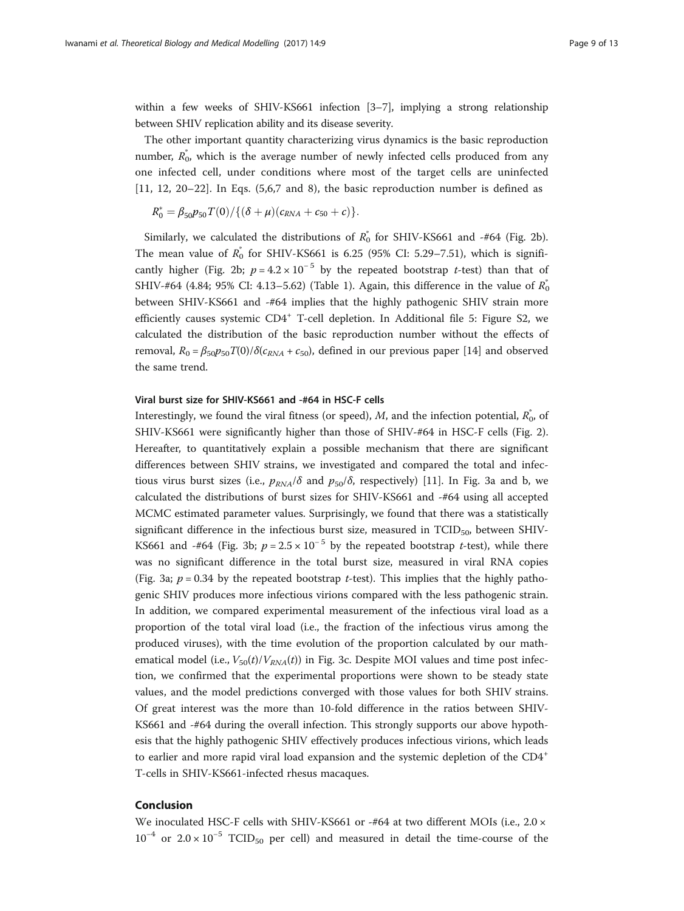within a few weeks of SHIV-KS661 infection [\[3](#page-11-0)–[7\]](#page-11-0), implying a strong relationship between SHIV replication ability and its disease severity.

The other important quantity characterizing virus dynamics is the basic reproduction number,  $R_0^*$ , which is the average number of newly infected cells produced from any one infected cell, under conditions where most of the target cells are uninfected [[11, 12](#page-11-0), [20](#page-12-0)–[22](#page-12-0)]. In Eqs. ([5,6,7](#page-3-0) and [8](#page-3-0)), the basic reproduction number is defined as

$$
R_0^* = \beta_{50} p_{50} T(0) / \{ (\delta + \mu) (c_{RNA} + c_{50} + c) \}.
$$

Similarly, we calculated the distributions of  $R_0^*$  for SHIV-KS661 and -#64 (Fig. [2b](#page-7-0)). The mean value of  $R_0^*$  for SHIV-KS661 is 6.25 (95% CI: 5.29–7.51), which is signifi-cantly higher (Fig. [2b](#page-7-0);  $p = 4.2 \times 10^{-5}$  by the repeated bootstrap t-test) than that of SHIV-#64 (4.84; 95% CI: 4.13–5.62) (Table [1\)](#page-4-0). Again, this difference in the value of  $R_0^*$ between SHIV-KS661 and -#64 implies that the highly pathogenic SHIV strain more efficiently causes systemic  $CD4^+$  T-cell depletion. In Additional file [5](#page-10-0): Figure S2, we calculated the distribution of the basic reproduction number without the effects of removal,  $R_0 = \beta_{50}p_{50}T(0)/\delta(c_{RNA} + c_{50})$ , defined in our previous paper [[14](#page-11-0)] and observed the same trend.

# Viral burst size for SHIV-KS661 and -#64 in HSC-F cells

Interestingly, we found the viral fitness (or speed), M, and the infection potential,  $R_0^*$ , of SHIV-KS661 were significantly higher than those of SHIV-#64 in HSC-F cells (Fig. [2](#page-7-0)). Hereafter, to quantitatively explain a possible mechanism that there are significant differences between SHIV strains, we investigated and compared the total and infectious virus burst sizes (i.e.,  $p_{RNA}/\delta$  and  $p_{50}/\delta$ , respectively) [\[11](#page-11-0)]. In Fig. [3a and b](#page-9-0), we calculated the distributions of burst sizes for SHIV-KS661 and -#64 using all accepted MCMC estimated parameter values. Surprisingly, we found that there was a statistically significant difference in the infectious burst size, measured in  $TCID_{50}$ , between SHIV-KS661 and -#64 (Fig. [3b;](#page-9-0)  $p = 2.5 \times 10^{-5}$  by the repeated bootstrap t-test), while there was no significant difference in the total burst size, measured in viral RNA copies (Fig. [3a](#page-9-0);  $p = 0.34$  by the repeated bootstrap *t*-test). This implies that the highly pathogenic SHIV produces more infectious virions compared with the less pathogenic strain. In addition, we compared experimental measurement of the infectious viral load as a proportion of the total viral load (i.e., the fraction of the infectious virus among the produced viruses), with the time evolution of the proportion calculated by our mathematical model (i.e.,  $V_{50}(t)/V_{RNA}(t)$ ) in Fig. [3c](#page-9-0). Despite MOI values and time post infection, we confirmed that the experimental proportions were shown to be steady state values, and the model predictions converged with those values for both SHIV strains. Of great interest was the more than 10-fold difference in the ratios between SHIV-KS661 and -#64 during the overall infection. This strongly supports our above hypothesis that the highly pathogenic SHIV effectively produces infectious virions, which leads to earlier and more rapid viral load expansion and the systemic depletion of the CD4<sup>+</sup> T-cells in SHIV-KS661-infected rhesus macaques.

# Conclusion

We inoculated HSC-F cells with SHIV-KS661 or -#64 at two different MOIs (i.e., 2.0 ×  $10^{-4}$  or  $2.0 \times 10^{-5}$  TCID<sub>50</sub> per cell) and measured in detail the time-course of the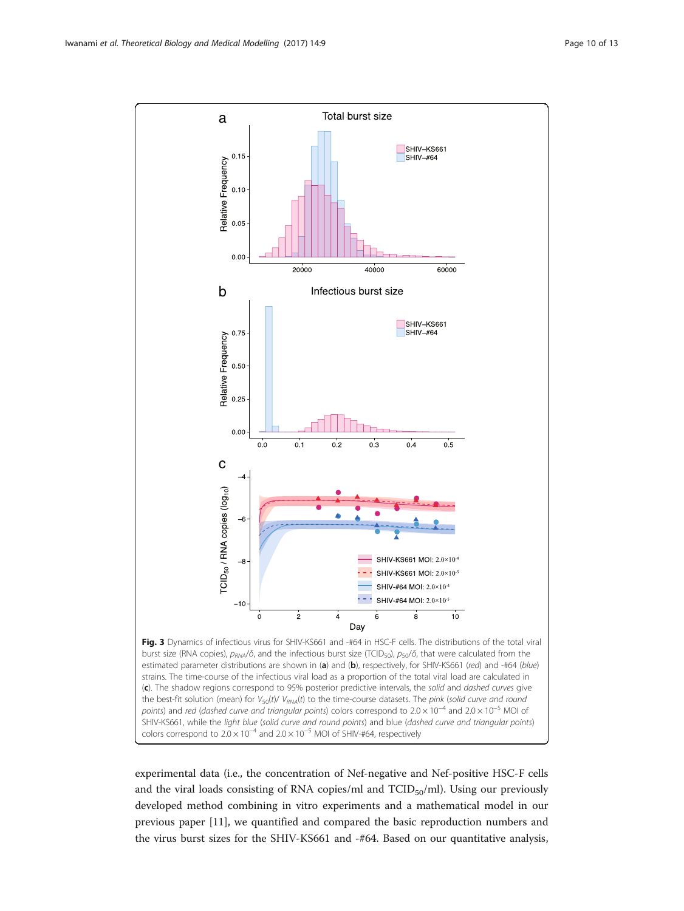<span id="page-9-0"></span>

experimental data (i.e., the concentration of Nef-negative and Nef-positive HSC-F cells and the viral loads consisting of RNA copies/ml and  $TCID_{50}/ml$ ). Using our previously developed method combining in vitro experiments and a mathematical model in our previous paper [\[11](#page-11-0)], we quantified and compared the basic reproduction numbers and the virus burst sizes for the SHIV-KS661 and -#64. Based on our quantitative analysis,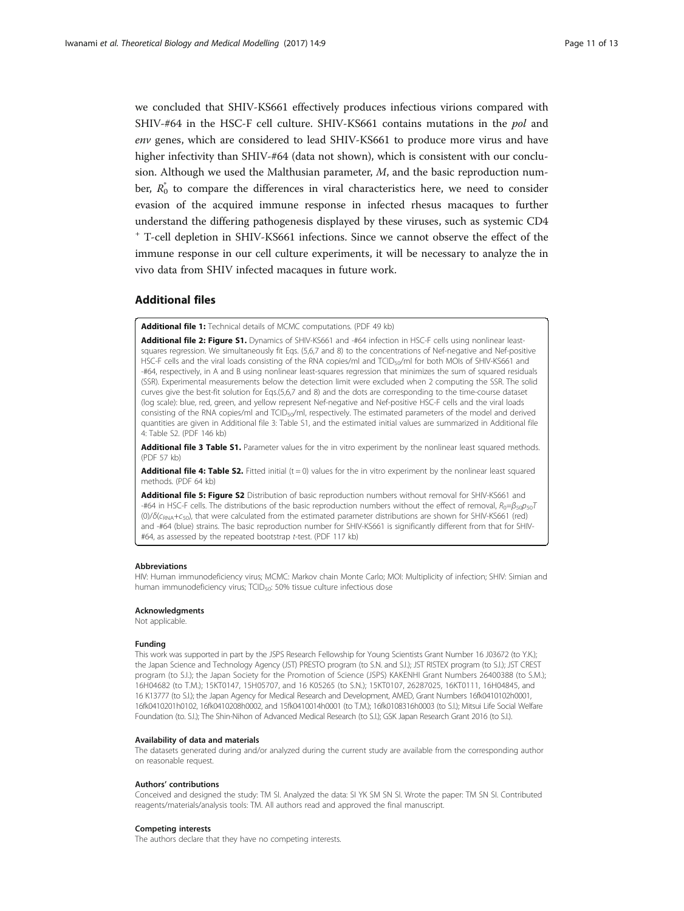<span id="page-10-0"></span>we concluded that SHIV-KS661 effectively produces infectious virions compared with SHIV-#64 in the HSC-F cell culture. SHIV-KS661 contains mutations in the pol and env genes, which are considered to lead SHIV-KS661 to produce more virus and have higher infectivity than SHIV-#64 (data not shown), which is consistent with our conclusion. Although we used the Malthusian parameter,  $M$ , and the basic reproduction number,  $R_0^*$  to compare the differences in viral characteristics here, we need to consider evasion of the acquired immune response in infected rhesus macaques to further understand the differing pathogenesis displayed by these viruses, such as systemic CD4 <sup>+</sup> T-cell depletion in SHIV-KS661 infections. Since we cannot observe the effect of the immune response in our cell culture experiments, it will be necessary to analyze the in vivo data from SHIV infected macaques in future work.

# Additional files

[Additional file 1:](dx.doi.org/10.1186/s12976-017-0055-8) Technical details of MCMC computations. (PDF 49 kb)

[Additional file 2: Figure S1.](dx.doi.org/10.1186/s12976-017-0055-8) Dynamics of SHIV-KS661 and -#64 infection in HSC-F cells using nonlinear leastsquares regression. We simultaneously fit Eqs. [\(5,6,7](#page-3-0) and [8](#page-3-0)) to the concentrations of Nef-negative and Nef-positive HSC-F cells and the viral loads consisting of the RNA copies/ml and TCID<sub>50</sub>/ml for both MOIs of SHIV-KS661 and -#64, respectively, in A and B using nonlinear least-squares regression that minimizes the sum of squared residuals (SSR). Experimental measurements below the detection limit were excluded when 2 computing the SSR. The solid curves give the best-fit solution for Eqs.[\(5,6,7](#page-3-0) and [8\)](#page-3-0) and the dots are corresponding to the time-course dataset (log scale): blue, red, green, and yellow represent Nef-negative and Nef-positive HSC-F cells and the viral loads consisting of the RNA copies/ml and TCID<sub>50</sub>/ml, respectively. The estimated parameters of the model and derived quantities are given in Additional file 3: Table S1, and the estimated initial values are summarized in Additional file 4: Table S2. (PDF 146 kb)

[Additional file 3 Table S1.](dx.doi.org/10.1186/s12976-017-0055-8) Parameter values for the in vitro experiment by the nonlinear least squared methods. (PDF 57 kb)

[Additional file 4: Table S2.](dx.doi.org/10.1186/s12976-017-0055-8) Fitted initial  $(t = 0)$  values for the in vitro experiment by the nonlinear least squared methods. (PDF 64 kb)

[Additional file 5: Figure S2](dx.doi.org/10.1186/s12976-017-0055-8) Distribution of basic reproduction numbers without removal for SHIV-KS661 and  $-$ #64 in HSC-F cells. The distributions of the basic reproduction numbers without the effect of removal,  $R_0 = \beta_{50}p_{50}T$ (0)/δ(c<sub>RNA</sub>+c<sub>50</sub>), that were calculated from the estimated parameter distributions are shown for SHIV-KS661 (red) and -#64 (blue) strains. The basic reproduction number for SHIV-KS661 is significantly different from that for SHIV- #64, as assessed by the repeated bootstrap t-test. (PDF 117 kb)

#### Abbreviations

HIV: Human immunodeficiency virus; MCMC: Markov chain Monte Carlo; MOI: Multiplicity of infection; SHIV: Simian and human immunodeficiency virus; TCID<sub>50</sub>: 50% tissue culture infectious dose

#### Acknowledgments

Not applicable.

# Funding

This work was supported in part by the JSPS Research Fellowship for Young Scientists Grant Number 16 J03672 (to Y.K.); the Japan Science and Technology Agency (JST) PRESTO program (to S.N. and S.I.); JST RISTEX program (to S.I.); JST CREST program (to S.I.); the Japan Society for the Promotion of Science (JSPS) KAKENHI Grant Numbers 26400388 (to S.M.); 16H04682 (to T.M.); 15KT0147, 15H05707, and 16 K05265 (to S.N.); 15KT0107, 26287025, 16KT0111, 16H04845, and 16 K13777 (to S.I.); the Japan Agency for Medical Research and Development, AMED, Grant Numbers 16fk0410102h0001, 16fk0410201h0102, 16fk0410208h0002, and 15fk0410014h0001 (to T.M.); 16fk0108316h0003 (to S.I.); Mitsui Life Social Welfare Foundation (to. S.I.); The Shin-Nihon of Advanced Medical Research (to S.I.); GSK Japan Research Grant 2016 (to S.I.).

#### Availability of data and materials

The datasets generated during and/or analyzed during the current study are available from the corresponding author on reasonable request.

#### Authors' contributions

Conceived and designed the study: TM SI. Analyzed the data: SI YK SM SN SI. Wrote the paper: TM SN SI. Contributed reagents/materials/analysis tools: TM. All authors read and approved the final manuscript.

#### Competing interests

The authors declare that they have no competing interests.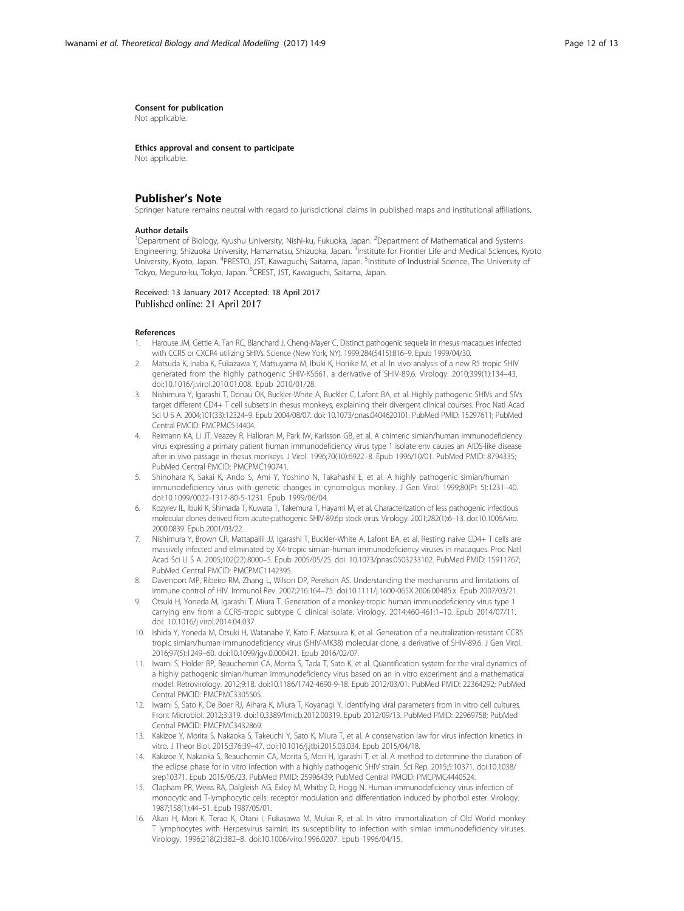#### <span id="page-11-0"></span>Consent for publication

Not applicable.

Ethics approval and consent to participate Not applicable.

# Publisher's Note

Springer Nature remains neutral with regard to jurisdictional claims in published maps and institutional affiliations.

#### Author details

<sup>1</sup>Department of Biology, Kyushu University, Nishi-ku, Fukuoka, Japan. <sup>2</sup>Department of Mathematical and Systems Engineering, Shizuoka University, Hamamatsu, Shizuoka, Japan. <sup>3</sup>Institute for Frontier Life and Medical Sciences, Kyoto University, Kyoto, Japan. <sup>4</sup>PRESTO, JST, Kawaguchi, Saitama, Japan. <sup>5</sup>Institute of Industrial Science, The University of Tokyo, Meguro-ku, Tokyo, Japan. <sup>6</sup>CREST, JST, Kawaguchi, Saitama, Japan.

Received: 13 January 2017 Accepted: 18 April 2017 Published online: 21 April 2017

#### References

- 1. Harouse JM, Gettie A, Tan RC, Blanchard J, Cheng-Mayer C. Distinct pathogenic sequela in rhesus macaques infected with CCR5 or CXCR4 utilizing SHIVs. Science (New York, NY). 1999;284(5415):816–9. Epub 1999/04/30.
- 2. Matsuda K, Inaba K, Fukazawa Y, Matsuyama M, Ibuki K, Horiike M, et al. In vivo analysis of a new R5 tropic SHIV generated from the highly pathogenic SHIV-KS661, a derivative of SHIV-89.6. Virology. 2010;399(1):134–43. doi[:10.1016/j.virol.2010.01.008.](http://dx.doi.org/10.1016/j.virol.2010.01.008) Epub 2010/01/28.
- 3. Nishimura Y, Igarashi T, Donau OK, Buckler-White A, Buckler C, Lafont BA, et al. Highly pathogenic SHIVs and SIVs target different CD4+ T cell subsets in rhesus monkeys, explaining their divergent clinical courses. Proc Natl Acad Sci U S A. 2004;101(33):12324–9. Epub 2004/08/07. doi: 10.1073/pnas.0404620101. PubMed PMID: 15297611; PubMed Central PMCID: PMCPMC514404.
- 4. Reimann KA, Li JT, Veazey R, Halloran M, Park IW, Karlsson GB, et al. A chimeric simian/human immunodeficiency virus expressing a primary patient human immunodeficiency virus type 1 isolate env causes an AIDS-like disease after in vivo passage in rhesus monkeys. J Virol. 1996;70(10):6922–8. Epub 1996/10/01. PubMed PMID: 8794335; PubMed Central PMCID: PMCPMC190741.
- 5. Shinohara K, Sakai K, Ando S, Ami Y, Yoshino N, Takahashi E, et al. A highly pathogenic simian/human immunodeficiency virus with genetic changes in cynomolgus monkey. J Gen Virol. 1999;80(Pt 5):1231–40. doi[:10.1099/0022-1317-80-5-1231](http://dx.doi.org/10.1099/0022-1317-80-5-1231). Epub 1999/06/04.
- 6. Kozyrev IL, Ibuki K, Shimada T, Kuwata T, Takemura T, Hayami M, et al. Characterization of less pathogenic infectious molecular clones derived from acute-pathogenic SHIV-89.6p stock virus. Virology. 2001;282(1):6–13. doi:[10.1006/viro.](http://dx.doi.org/10.1006/viro.2000.0839) [2000.0839](http://dx.doi.org/10.1006/viro.2000.0839). Epub 2001/03/22.
- 7. Nishimura Y, Brown CR, Mattapallil JJ, Igarashi T, Buckler-White A, Lafont BA, et al. Resting naive CD4+ T cells are massively infected and eliminated by X4-tropic simian-human immunodeficiency viruses in macaques. Proc Natl Acad Sci U S A. 2005;102(22):8000–5. Epub 2005/05/25. doi: 10.1073/pnas.0503233102. PubMed PMID: 15911767; PubMed Central PMCID: PMCPMC1142395.
- 8. Davenport MP, Ribeiro RM, Zhang L, Wilson DP, Perelson AS. Understanding the mechanisms and limitations of immune control of HIV. Immunol Rev. 2007;216:164–75. doi:[10.1111/j.1600-065X.2006.00485.x.](http://dx.doi.org/10.1111/j.1600-065X.2006.00485.x) Epub 2007/03/21.
- Otsuki H, Yoneda M, Igarashi T, Miura T. Generation of a monkey-tropic human immunodeficiency virus type 1 carrying env from a CCR5-tropic subtype C clinical isolate. Virology. 2014;460-461:1–10. Epub 2014/07/11. doi: 10.1016/j.virol.2014.04.037.
- 10. Ishida Y, Yoneda M, Otsuki H, Watanabe Y, Kato F, Matsuura K, et al. Generation of a neutralization-resistant CCR5 tropic simian/human immunodeficiency virus (SHIV-MK38) molecular clone, a derivative of SHIV-89.6. J Gen Virol. 2016;97(5):1249–60. doi[:10.1099/jgv.0.000421](http://dx.doi.org/10.1099/jgv.0.000421). Epub 2016/02/07.
- 11. Iwami S, Holder BP, Beauchemin CA, Morita S, Tada T, Sato K, et al. Quantification system for the viral dynamics of a highly pathogenic simian/human immunodeficiency virus based on an in vitro experiment and a mathematical model. Retrovirology. 2012;9:18. doi[:10.1186/1742-4690-9-18](http://dx.doi.org/10.1186/1742-4690-9-18). Epub 2012/03/01. PubMed PMID: 22364292; PubMed Central PMCID: PMCPMC3305505.
- 12. Iwami S, Sato K, De Boer RJ, Aihara K, Miura T, Koyanagi Y. Identifying viral parameters from in vitro cell cultures. Front Microbiol. 2012;3:319. doi[:10.3389/fmicb.2012.00319](http://dx.doi.org/10.3389/fmicb.2012.00319). Epub 2012/09/13. PubMed PMID: 22969758; PubMed Central PMCID: PMCPMC3432869.
- 13. Kakizoe Y, Morita S, Nakaoka S, Takeuchi Y, Sato K, Miura T, et al. A conservation law for virus infection kinetics in vitro. J Theor Biol. 2015;376:39–47. doi[:10.1016/j.jtbi.2015.03.034](http://dx.doi.org/10.1016/j.jtbi.2015.03.034). Epub 2015/04/18.
- 14. Kakizoe Y, Nakaoka S, Beauchemin CA, Morita S, Mori H, Igarashi T, et al. A method to determine the duration of the eclipse phase for in vitro infection with a highly pathogenic SHIV strain. Sci Rep. 2015;5:10371. doi:[10.1038/](http://dx.doi.org/10.1038/srep10371) [srep10371.](http://dx.doi.org/10.1038/srep10371) Epub 2015/05/23. PubMed PMID: 25996439; PubMed Central PMCID: PMCPMC4440524.
- 15. Clapham PR, Weiss RA, Dalgleish AG, Exley M, Whitby D, Hogg N. Human immunodeficiency virus infection of monocytic and T-lymphocytic cells: receptor modulation and differentiation induced by phorbol ester. Virology. 1987;158(1):44–51. Epub 1987/05/01.
- 16. Akari H, Mori K, Terao K, Otani I, Fukasawa M, Mukai R, et al. In vitro immortalization of Old World monkey T lymphocytes with Herpesvirus saimiri: its susceptibility to infection with simian immunodeficiency viruses. Virology. 1996;218(2):382–8. doi:[10.1006/viro.1996.0207.](http://dx.doi.org/10.1006/viro.1996.0207) Epub 1996/04/15.